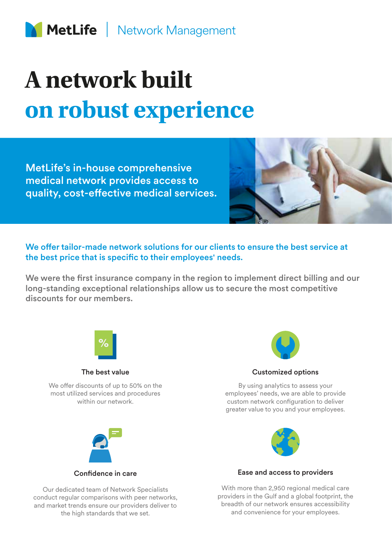# **A network built on robust experience**

MetLife's in-house comprehensive medical network provides access to quality, cost-effective medical services.



We offer tailor-made network solutions for our clients to ensure the best service at the best price that is specific to their employees' needs.

We were the first insurance company in the region to implement direct billing and our long-standing exceptional relationships allow us to secure the most competitive discounts for our members.



The best value

We offer discounts of up to 50% on the most utilized services and procedures within our network.



Customized options

By using analytics to assess your employees' needs, we are able to provide custom network configuration to deliver greater value to you and your employees.



Confidence in care

Our dedicated team of Network Specialists conduct regular comparisons with peer networks, and market trends ensure our providers deliver to the high standards that we set.



### Ease and access to providers

With more than 2,950 regional medical care providers in the Gulf and a global footprint, the breadth of our network ensures accessibility and convenience for your employees.